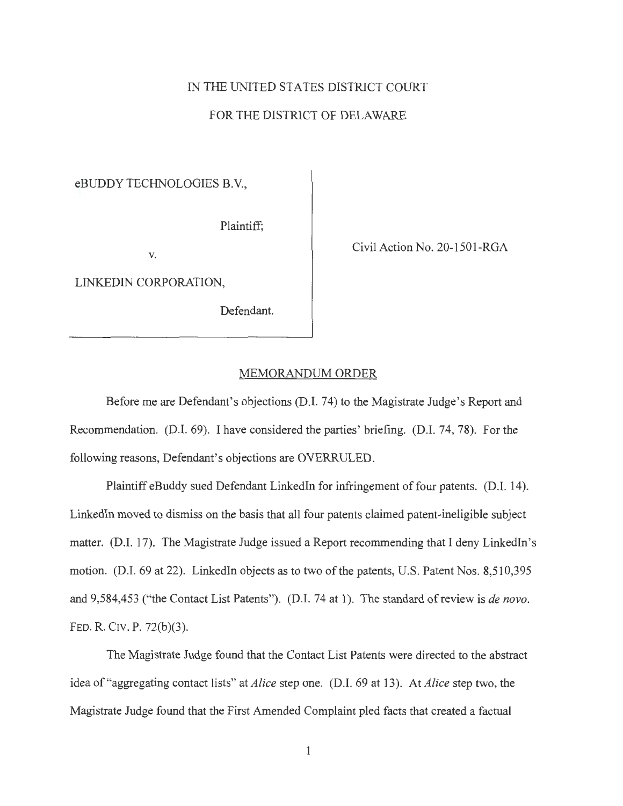## IN THE UNITED STATES DISTRICT COURT

## FOR THE DISTRICT OF DELAWARE

eBUDDY TECHNOLOGIES B.V.,

Plaintiff;

**V.** 

LINK.EDIN CORPORATION,

Defendant.

Civil Action No. 20-1501-RGA

## MEMORANDUM ORDER

Before me are Defendant's objections (D.I. 74) to the Magistrate Judge's Report and Recommendation. (D.I. 69). I have considered the parties' briefing. (D.I. 74, 78). For the following reasons, Defendant's objections are OVERRULED.

Plaintiff eBuddy sued Defendant LinkedIn for infringement of four patents. (D.I. 14). Linkedln moved to dismiss on the basis that all four patents claimed patent-ineligible subject matter. (D.I. 17). The Magistrate Judge issued a Report recommending that I deny Linkedln's motion. (D.I. 69 at 22). Linkedln objects as to two of the patents, U.S. Patent Nos. 8,510,395 and 9,584,453 ("the Contact List Patents"). (D.I. 74 at 1). The standard of review is *de novo*. FED. R. CIV. P. 72(b)(3).

The Magistrate Judge found that the Contact List Patents were directed to the abstract idea of "aggregating contact lists" at *Alice* step one. (D.I. 69 at 13). At *Alice* step two, the Magistrate Judge found that the First Amended Complaint pled facts that created a factual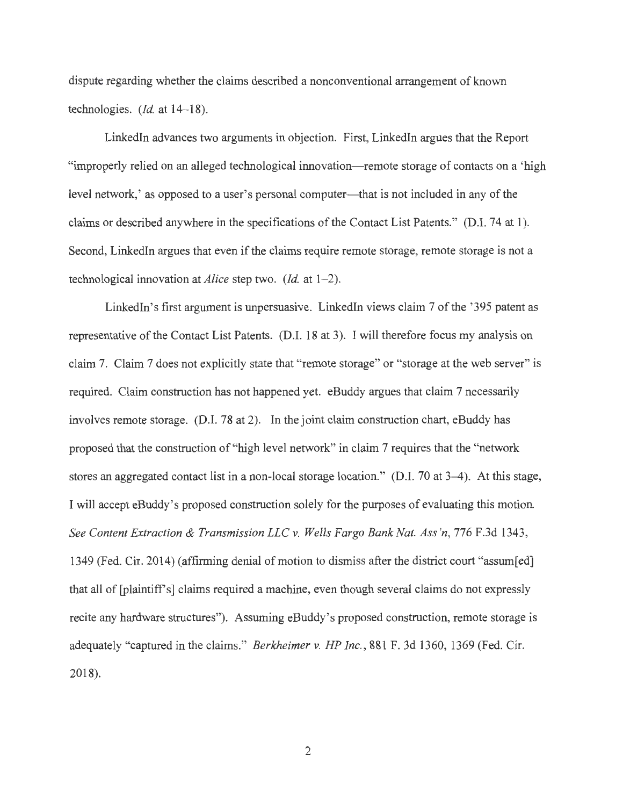dispute regarding whether the claims described a nonconventional arrangement of known technologies. *(Id.* at 14-18).

Linkedln advances two arguments in objection. First, Linkedln argues that the Report "improperly relied on an alleged technological innovation—remote storage of contacts on a 'high level network,' as opposed to a user's personal computer—that is not included in any of the claims or described anywhere in the specifications of the Contact List Patents." (D.I. 74 at 1). Second, Linkedln argues that even if the claims require remote storage, remote storage is not a technological innovation at *Alice* step two. *(Id.* at 1-2).

LinkedIn's first argument is unpersuasive. LinkedIn views claim 7 of the '395 patent as representative of the Contact List Patents. (D.I. 18 at 3). I will therefore focus my analysis on claim 7. Claim 7 does not explicitly state that "remote storage" or "storage at the web server" is required. Claim construction has not happened yet. eBuddy argues that claim 7 necessarily involves remote storage. (D.I. 78 at 2). In the joint claim construction chart, eBuddy has proposed that the construction of "high level network" in claim 7 requires that the "network stores an aggregated contact list in a non-local storage location." (D.I. 70 at 3–4). At this stage, I will accept eBuddy's proposed construction solely for the purposes of evaluating this motion *See Content Extraction & Transmission LLC* v. *Wells Fargo Bank Nat. Ass 'n,* 776 F.3d 1343, 1349 (Fed. Cir. 2014) (affirming denial of motion to dismiss after the district court "assum[ed] that all of [plaintiff's] claims required a machine, even though several claims do not expressly recite any hardware structures"). Assuming eBuddy's proposed construction, remote storage is adequately "captured in the claims." *Berkheimer* v. *HP Inc. ,* 881 F. 3d 1360, 1369 (Fed. Cir. 2018).

2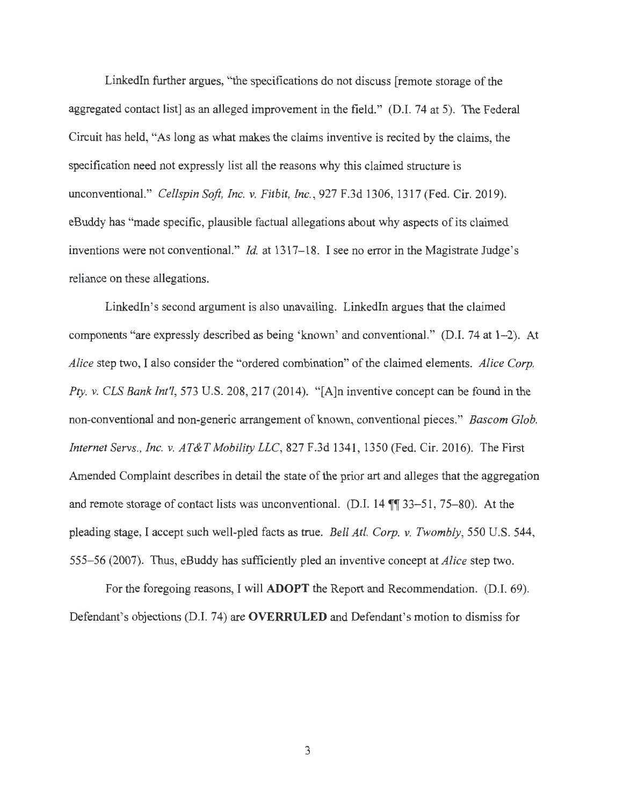Linkedln further argues, "the specifications do not discuss [remote storage of the aggregated contact list] as an alleged improvement in the field." (D.I. 74 at 5). The Federal Circuit has held, "As long as what makes the claims inventive is recited by the claims, the specification need not expressly list all the reasons why this claimed structure is unconventional." *Cellspin Soft, Inc. v. Fitbit, Inc. ,* 927 F.3d 1306, 1317 (Fed. Cir. 2019). eBuddy has "made specific, plausible factual allegations about why aspects of its claimed inventions were not conventional." *Id.* at 1317-18. I see no error in the Magistrate Judge's reliance on these allegations.

Linkedln's second argument is also unavailing. Linkedln argues that the claimed components "are expressly described as being 'known' and conventional." (D.I. 74 at 1-2). At *Alice* step two, I also consider the "ordered combination" of the claimed elements. *Alice Corp. Pty. v. CLS Bank Int'!,* 573 U.S. 208, 217 (2014). " [A]n inventive concept can be found in the non-conventional and non-generic arrangement of known, conventional pieces." *Bascom Glob. Internet Servs., Inc. v. AT&T Mobility LLC,* 827 F.3d 1341, 1350 (Fed. Cir. 2016). The First Amended Complaint describes in detail the state of the prior art and alleges that the aggregation and remote storage of contact lists was unconventional. (D.I.  $14 \sqrt{\ }33-51, 75-80$ ). At the pleading stage, I accept such well-pled facts as true. *Bell At!. Corp. v. Twombly,* 550 U.S. 544, 555-56 (2007). Thus, eBuddy has sufficiently pled an inventive concept at *Alice* step two.

For the foregoing reasons, I will **ADOPT** the Report and Recommendation. (D.I. 69). Defendant's objections (D.I. 74) are **OVERRULED** and Defendant's motion to dismiss for